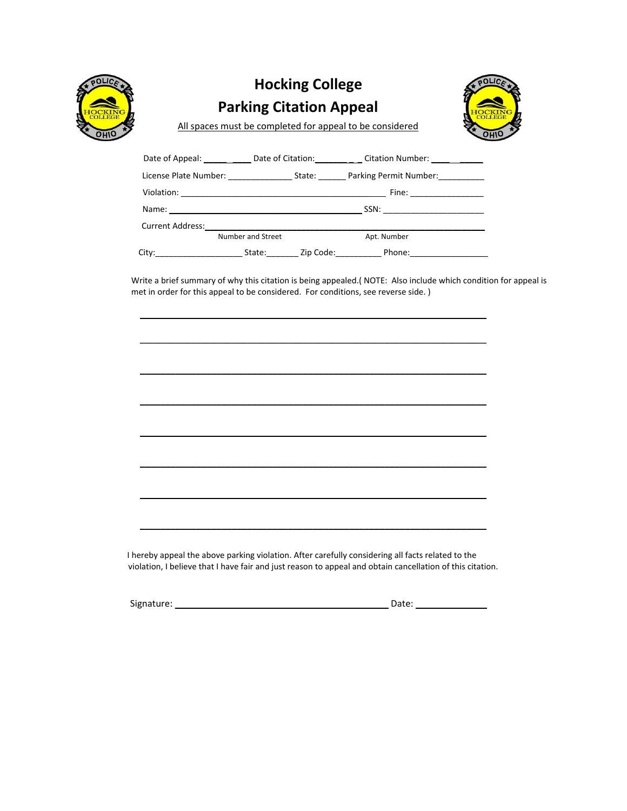

# **Hocking College Parking Citation Appeal**



All spaces must be completed for appeal to be considered

|                                 |                                                                                                                                                                                                                               |                                                                                                                                                                                                                                | Date of Appeal: Date of Citation: Citation Number: |  |
|---------------------------------|-------------------------------------------------------------------------------------------------------------------------------------------------------------------------------------------------------------------------------|--------------------------------------------------------------------------------------------------------------------------------------------------------------------------------------------------------------------------------|----------------------------------------------------|--|
|                                 | License Plate Number: ______________                                                                                                                                                                                          | State: The State of the State of the State of the State of the State of the State of the State of the State of the State of the State of the State of the State of the State of the State of the State of the State of the Sta | Parking Permit Number:                             |  |
|                                 |                                                                                                                                                                                                                               |                                                                                                                                                                                                                                | Fine: _________________                            |  |
|                                 | Name: Name and the second contract of the second contract of the second contract of the second contract of the second contract of the second contract of the second contract of the second contract of the second contract of |                                                                                                                                                                                                                                |                                                    |  |
| <b>Current Address:</b>         |                                                                                                                                                                                                                               |                                                                                                                                                                                                                                |                                                    |  |
|                                 | Number and Street                                                                                                                                                                                                             |                                                                                                                                                                                                                                | Apt. Number                                        |  |
| City:__________________________ | State:                                                                                                                                                                                                                        |                                                                                                                                                                                                                                | Zip Code:                                          |  |

\_\_\_\_\_\_\_\_\_\_\_\_\_\_\_\_\_\_\_\_\_\_\_\_\_\_\_\_\_\_\_\_\_\_\_\_\_\_\_\_\_\_\_\_\_\_\_\_\_\_\_\_\_\_\_\_\_ \_\_\_\_\_\_\_\_\_\_

Write a brief summary of why this citation is being appealed.( NOTE: Also include which condition for appeal is met in order for this appeal to be considered. For conditions, see reverse side.)

 $\mathcal{L}_\text{max} = \mathcal{L}_\text{max} = \mathcal{L}_\text{max} = \mathcal{L}_\text{max} = \mathcal{L}_\text{max} = \mathcal{L}_\text{max} = \mathcal{L}_\text{max} = \mathcal{L}_\text{max} = \mathcal{L}_\text{max} = \mathcal{L}_\text{max} = \mathcal{L}_\text{max} = \mathcal{L}_\text{max} = \mathcal{L}_\text{max} = \mathcal{L}_\text{max} = \mathcal{L}_\text{max} = \mathcal{L}_\text{max} = \mathcal{L}_\text{max} = \mathcal{L}_\text{max} = \mathcal{$  $\mathcal{L}_\text{max} = \mathcal{L}_\text{max} = \mathcal{L}_\text{max} = \mathcal{L}_\text{max} = \mathcal{L}_\text{max} = \mathcal{L}_\text{max} = \mathcal{L}_\text{max} = \mathcal{L}_\text{max} = \mathcal{L}_\text{max} = \mathcal{L}_\text{max} = \mathcal{L}_\text{max} = \mathcal{L}_\text{max} = \mathcal{L}_\text{max} = \mathcal{L}_\text{max} = \mathcal{L}_\text{max} = \mathcal{L}_\text{max} = \mathcal{L}_\text{max} = \mathcal{L}_\text{max} = \mathcal{$ \_\_\_\_\_\_\_\_\_\_\_\_\_\_\_\_\_\_\_\_\_\_\_\_\_\_\_\_\_\_\_\_\_\_\_\_\_\_\_\_\_\_\_\_\_\_\_\_\_\_\_\_\_\_\_\_\_\_\_\_\_\_\_\_\_\_\_\_  $\frac{1}{2}$  ,  $\frac{1}{2}$  ,  $\frac{1}{2}$  ,  $\frac{1}{2}$  ,  $\frac{1}{2}$  ,  $\frac{1}{2}$  ,  $\frac{1}{2}$  ,  $\frac{1}{2}$  ,  $\frac{1}{2}$  ,  $\frac{1}{2}$  ,  $\frac{1}{2}$  ,  $\frac{1}{2}$  ,  $\frac{1}{2}$  ,  $\frac{1}{2}$  ,  $\frac{1}{2}$  ,  $\frac{1}{2}$  ,  $\frac{1}{2}$  ,  $\frac{1}{2}$  ,  $\frac{1$  $\frac{1}{2}$  ,  $\frac{1}{2}$  ,  $\frac{1}{2}$  ,  $\frac{1}{2}$  ,  $\frac{1}{2}$  ,  $\frac{1}{2}$  ,  $\frac{1}{2}$  ,  $\frac{1}{2}$  ,  $\frac{1}{2}$  ,  $\frac{1}{2}$  ,  $\frac{1}{2}$  ,  $\frac{1}{2}$  ,  $\frac{1}{2}$  ,  $\frac{1}{2}$  ,  $\frac{1}{2}$  ,  $\frac{1}{2}$  ,  $\frac{1}{2}$  ,  $\frac{1}{2}$  ,  $\frac{1$  $\mathcal{L}_\text{max} = \mathcal{L}_\text{max} = \mathcal{L}_\text{max} = \mathcal{L}_\text{max} = \mathcal{L}_\text{max} = \mathcal{L}_\text{max} = \mathcal{L}_\text{max} = \mathcal{L}_\text{max} = \mathcal{L}_\text{max} = \mathcal{L}_\text{max} = \mathcal{L}_\text{max} = \mathcal{L}_\text{max} = \mathcal{L}_\text{max} = \mathcal{L}_\text{max} = \mathcal{L}_\text{max} = \mathcal{L}_\text{max} = \mathcal{L}_\text{max} = \mathcal{L}_\text{max} = \mathcal{$  $\mathcal{L}_\text{max} = \mathcal{L}_\text{max} = \mathcal{L}_\text{max} = \mathcal{L}_\text{max} = \mathcal{L}_\text{max} = \mathcal{L}_\text{max} = \mathcal{L}_\text{max} = \mathcal{L}_\text{max} = \mathcal{L}_\text{max} = \mathcal{L}_\text{max} = \mathcal{L}_\text{max} = \mathcal{L}_\text{max} = \mathcal{L}_\text{max} = \mathcal{L}_\text{max} = \mathcal{L}_\text{max} = \mathcal{L}_\text{max} = \mathcal{L}_\text{max} = \mathcal{L}_\text{max} = \mathcal{$ I hereby appeal the above parking violation. After carefully considering all facts related to the

violation, I believe that I have fair and just reason to appeal and obtain cancellation of this citation.

Signature: \_\_\_\_\_\_\_\_\_\_\_\_\_\_\_\_\_\_\_\_\_\_\_\_\_\_\_\_\_\_\_\_\_\_\_\_\_ \_\_\_\_ Date: \_\_\_\_\_\_\_\_\_\_\_\_\_\_